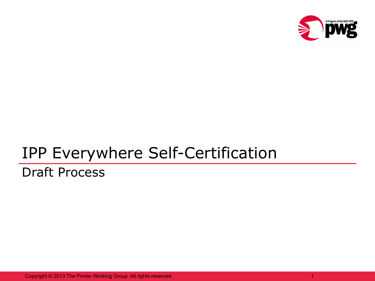

## IPP Everywhere Self-Certification

#### Draft Process

Copyright © 2013 The Printer Working Group. All rights reserved.

1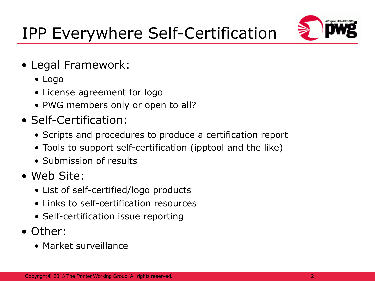# IPP Everywhere Self-Certification



- Legal Framework:
	- Logo
	- License agreement for logo
	- PWG members only or open to all?
- Self-Certification:
	- Scripts and procedures to produce a certification report
	- Tools to support self-certification (ipptool and the like)
	- Submission of results
- Web Site:
	- List of self-certified/logo products
	- Links to self-certification resources
	- Self-certification issue reporting
- Other:
	- Market surveillance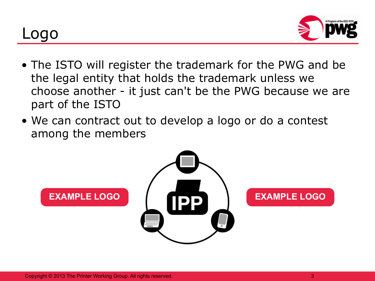### Logo



- The ISTO will register the trademark for the PWG and be the legal entity that holds the trademark unless we choose another - it just can't be the PWG because we are part of the ISTO
- We can contract out to develop a logo or do a contest among the members

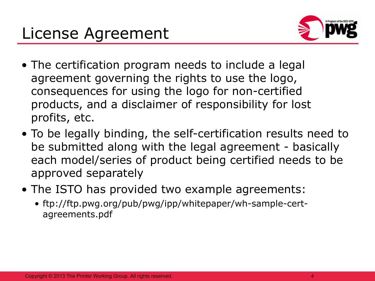

- The certification program needs to include a legal agreement governing the rights to use the logo, consequences for using the logo for non-certified products, and a disclaimer of responsibility for lost profits, etc.
- To be legally binding, the self-certification results need to be submitted along with the legal agreement - basically each model/series of product being certified needs to be approved separately
- The ISTO has provided two example agreements:
	- ftp://ftp.pwg.org/pub/pwg/ipp/whitepaper/wh-sample-certagreements.pdf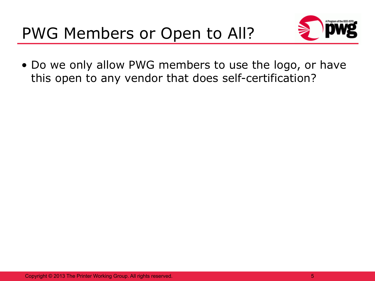

• Do we only allow PWG members to use the logo, or have this open to any vendor that does self-certification?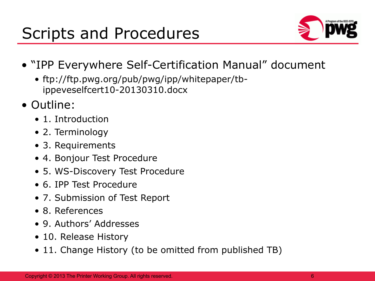

- "IPP Everywhere Self-Certification Manual" document
	- ftp://ftp.pwg.org/pub/pwg/ipp/whitepaper/tbippeveselfcert10-20130310.docx
- Outline:
	- 1. Introduction
	- 2. Terminology
	- 3. Requirements
	- 4. Bonjour Test Procedure
	- 5. WS-Discovery Test Procedure
	- 6. IPP Test Procedure
	- 7. Submission of Test Report
	- 8. References
	- 9. Authors' Addresses
	- 10. Release History
	- 11. Change History (to be omitted from published TB)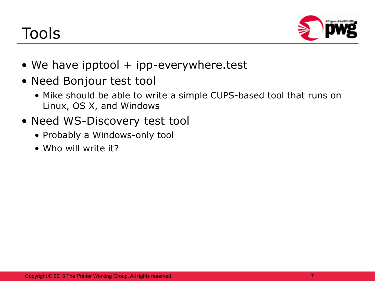# Tools



- We have ipptool  $+$  ipp-everywhere.test
- Need Bonjour test tool
	- Mike should be able to write a simple CUPS-based tool that runs on Linux, OS X, and Windows
- Need WS-Discovery test tool
	- Probably a Windows-only tool
	- Who will write it?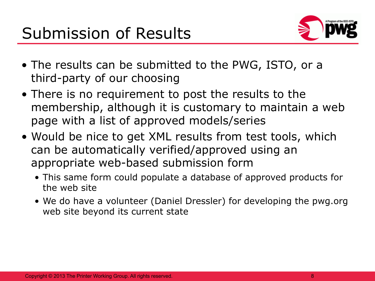

- The results can be submitted to the PWG, ISTO, or a third-party of our choosing
- There is no requirement to post the results to the membership, although it is customary to maintain a web page with a list of approved models/series
- Would be nice to get XML results from test tools, which can be automatically verified/approved using an appropriate web-based submission form
	- This same form could populate a database of approved products for the web site
	- We do have a volunteer (Daniel Dressler) for developing the pwg.org web site beyond its current state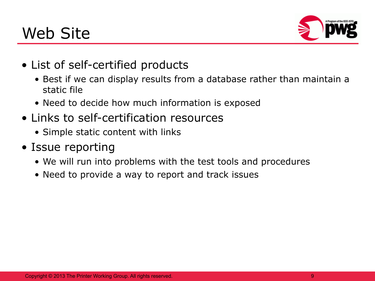## Web Site



- List of self-certified products
	- Best if we can display results from a database rather than maintain a static file
	- Need to decide how much information is exposed
- Links to self-certification resources
	- Simple static content with links
- Issue reporting
	- We will run into problems with the test tools and procedures
	- Need to provide a way to report and track issues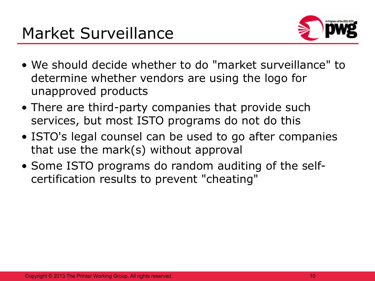

- We should decide whether to do "market surveillance" to determine whether vendors are using the logo for unapproved products
- There are third-party companies that provide such services, but most ISTO programs do not do this
- ISTO's legal counsel can be used to go after companies that use the mark(s) without approval
- Some ISTO programs do random auditing of the selfcertification results to prevent "cheating"